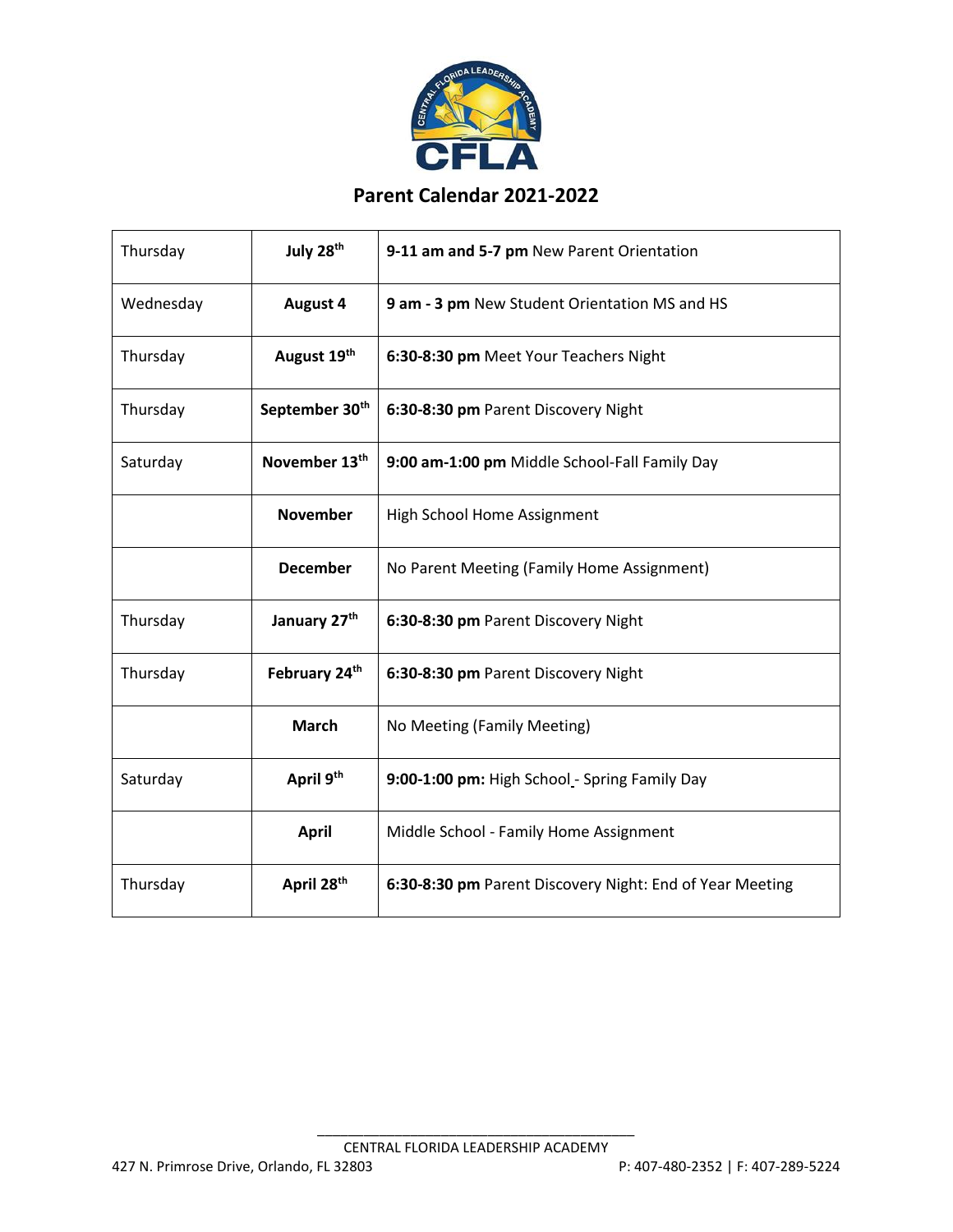

## **Parent Calendar 2021-2022**

| Thursday  | July 28th              | 9-11 am and 5-7 pm New Parent Orientation                |
|-----------|------------------------|----------------------------------------------------------|
| Wednesday | August 4               | 9 am - 3 pm New Student Orientation MS and HS            |
| Thursday  | August 19th            | 6:30-8:30 pm Meet Your Teachers Night                    |
| Thursday  | September 30th         | 6:30-8:30 pm Parent Discovery Night                      |
| Saturday  | November 13th          | 9:00 am-1:00 pm Middle School-Fall Family Day            |
|           | <b>November</b>        | High School Home Assignment                              |
|           | <b>December</b>        | No Parent Meeting (Family Home Assignment)               |
| Thursday  | January 27th           | 6:30-8:30 pm Parent Discovery Night                      |
| Thursday  | February 24th          | 6:30-8:30 pm Parent Discovery Night                      |
|           | <b>March</b>           | No Meeting (Family Meeting)                              |
| Saturday  | April 9 <sup>th</sup>  | 9:00-1:00 pm: High School - Spring Family Day            |
|           | <b>April</b>           | Middle School - Family Home Assignment                   |
| Thursday  | April 28 <sup>th</sup> | 6:30-8:30 pm Parent Discovery Night: End of Year Meeting |